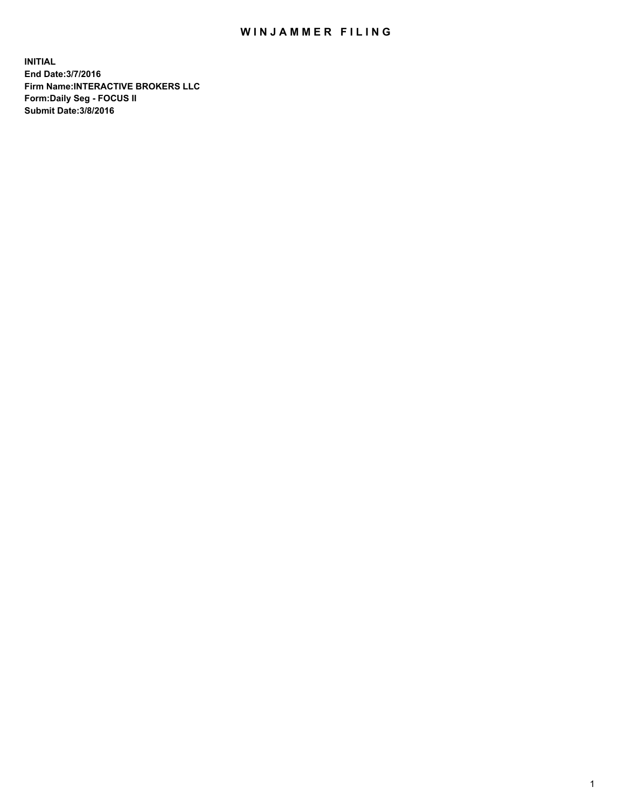## WIN JAMMER FILING

**INITIAL End Date:3/7/2016 Firm Name:INTERACTIVE BROKERS LLC Form:Daily Seg - FOCUS II Submit Date:3/8/2016**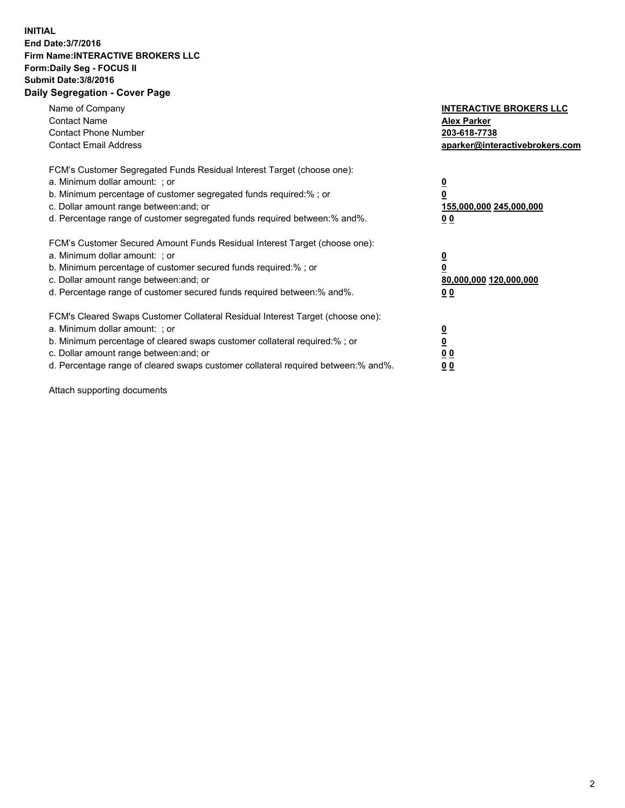## **INITIAL End Date:3/7/2016 Firm Name:INTERACTIVE BROKERS LLC Form:Daily Seg - FOCUS II Submit Date:3/8/2016 Daily Segregation - Cover Page**

| Name of Company<br><b>Contact Name</b><br><b>Contact Phone Number</b><br><b>Contact Email Address</b>                                                                                                                                                                                                                          | <b>INTERACTIVE BROKERS LLC</b><br><b>Alex Parker</b><br>203-618-7738<br>aparker@interactivebrokers.com |
|--------------------------------------------------------------------------------------------------------------------------------------------------------------------------------------------------------------------------------------------------------------------------------------------------------------------------------|--------------------------------------------------------------------------------------------------------|
| FCM's Customer Segregated Funds Residual Interest Target (choose one):<br>a. Minimum dollar amount: ; or<br>b. Minimum percentage of customer segregated funds required:%; or<br>c. Dollar amount range between: and; or<br>d. Percentage range of customer segregated funds required between:% and%.                          | <u>0</u><br>155,000,000 245,000,000<br><u>00</u>                                                       |
| FCM's Customer Secured Amount Funds Residual Interest Target (choose one):<br>a. Minimum dollar amount: ; or<br>b. Minimum percentage of customer secured funds required:%; or<br>c. Dollar amount range between: and; or<br>d. Percentage range of customer secured funds required between:% and%.                            | <u>0</u><br>80,000,000 120,000,000<br>0 <sub>0</sub>                                                   |
| FCM's Cleared Swaps Customer Collateral Residual Interest Target (choose one):<br>a. Minimum dollar amount: ; or<br>b. Minimum percentage of cleared swaps customer collateral required:% ; or<br>c. Dollar amount range between: and; or<br>d. Percentage range of cleared swaps customer collateral required between:% and%. | ₫<br>0 <sub>0</sub><br>0 <sub>0</sub>                                                                  |

Attach supporting documents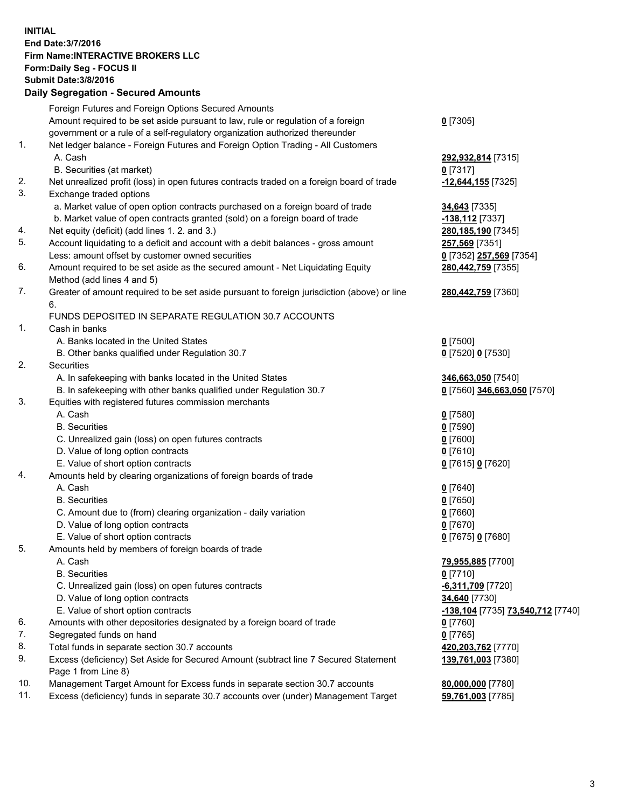## **INITIAL End Date:3/7/2016 Firm Name:INTERACTIVE BROKERS LLC Form:Daily Seg - FOCUS II Submit Date:3/8/2016 Daily Segregation - Secured Amounts**

|     | Foreign Futures and Foreign Options Secured Amounts                                         |                                   |
|-----|---------------------------------------------------------------------------------------------|-----------------------------------|
|     | Amount required to be set aside pursuant to law, rule or regulation of a foreign            | $0$ [7305]                        |
|     | government or a rule of a self-regulatory organization authorized thereunder                |                                   |
| 1.  | Net ledger balance - Foreign Futures and Foreign Option Trading - All Customers             |                                   |
|     | A. Cash                                                                                     | 292,932,814 [7315]                |
|     | B. Securities (at market)                                                                   | $0$ [7317]                        |
| 2.  | Net unrealized profit (loss) in open futures contracts traded on a foreign board of trade   | -12,644,155 [7325]                |
| 3.  | Exchange traded options                                                                     |                                   |
|     | a. Market value of open option contracts purchased on a foreign board of trade              | 34,643 [7335]                     |
|     | b. Market value of open contracts granted (sold) on a foreign board of trade                | -138,112 [7337]                   |
| 4.  | Net equity (deficit) (add lines 1.2. and 3.)                                                | 280,185,190 [7345]                |
| 5.  | Account liquidating to a deficit and account with a debit balances - gross amount           | 257,569 [7351]                    |
|     | Less: amount offset by customer owned securities                                            | 0 [7352] 257,569 [7354]           |
| 6.  | Amount required to be set aside as the secured amount - Net Liquidating Equity              | 280,442,759 [7355]                |
|     | Method (add lines 4 and 5)                                                                  |                                   |
| 7.  | Greater of amount required to be set aside pursuant to foreign jurisdiction (above) or line | 280,442,759 [7360]                |
|     | 6.                                                                                          |                                   |
|     | FUNDS DEPOSITED IN SEPARATE REGULATION 30.7 ACCOUNTS                                        |                                   |
| 1.  | Cash in banks                                                                               |                                   |
|     | A. Banks located in the United States                                                       | $0$ [7500]                        |
|     | B. Other banks qualified under Regulation 30.7                                              | 0 [7520] 0 [7530]                 |
| 2.  | Securities                                                                                  |                                   |
|     | A. In safekeeping with banks located in the United States                                   | 346,663,050 [7540]                |
|     | B. In safekeeping with other banks qualified under Regulation 30.7                          | 0 [7560] 346,663,050 [7570]       |
| 3.  | Equities with registered futures commission merchants                                       |                                   |
|     | A. Cash                                                                                     | $0$ [7580]                        |
|     | <b>B.</b> Securities                                                                        | $0$ [7590]                        |
|     | C. Unrealized gain (loss) on open futures contracts                                         | $0$ [7600]                        |
|     | D. Value of long option contracts                                                           | $0$ [7610]                        |
|     | E. Value of short option contracts                                                          |                                   |
| 4.  | Amounts held by clearing organizations of foreign boards of trade                           | 0 [7615] 0 [7620]                 |
|     | A. Cash                                                                                     |                                   |
|     |                                                                                             | $0$ [7640]                        |
|     | <b>B.</b> Securities                                                                        | $0$ [7650]                        |
|     | C. Amount due to (from) clearing organization - daily variation                             | $0$ [7660]                        |
|     | D. Value of long option contracts                                                           | $0$ [7670]                        |
|     | E. Value of short option contracts                                                          | 0 [7675] 0 [7680]                 |
| 5.  | Amounts held by members of foreign boards of trade                                          |                                   |
|     | A. Cash                                                                                     | 79,955,885 [7700]                 |
|     | <b>B.</b> Securities                                                                        | $0$ [7710]                        |
|     | C. Unrealized gain (loss) on open futures contracts                                         | -6,311,709 [7720]                 |
|     | D. Value of long option contracts                                                           | 34,640 [7730]                     |
|     | E. Value of short option contracts                                                          | -138,104 [7735] 73,540,712 [7740] |
| 6.  | Amounts with other depositories designated by a foreign board of trade                      | $0$ [7760]                        |
| 7.  | Segregated funds on hand                                                                    | $0$ [7765]                        |
| 8.  | Total funds in separate section 30.7 accounts                                               | 420,203,762 [7770]                |
| 9.  | Excess (deficiency) Set Aside for Secured Amount (subtract line 7 Secured Statement         | 139,761,003 [7380]                |
|     | Page 1 from Line 8)                                                                         |                                   |
| 10. | Management Target Amount for Excess funds in separate section 30.7 accounts                 | 80,000,000 [7780]                 |
| 11. | Excess (deficiency) funds in separate 30.7 accounts over (under) Management Target          | 59,761,003 [7785]                 |
|     |                                                                                             |                                   |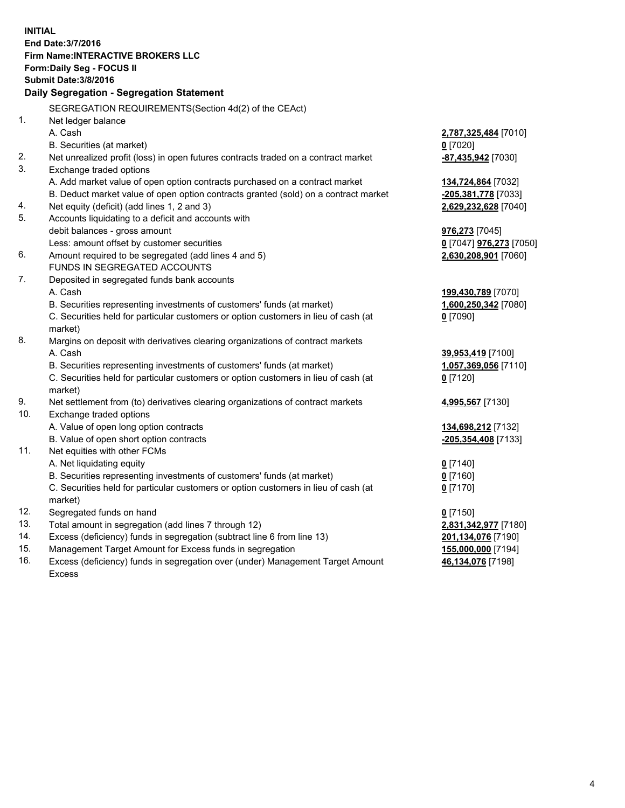**INITIAL End Date:3/7/2016 Firm Name:INTERACTIVE BROKERS LLC Form:Daily Seg - FOCUS II Submit Date:3/8/2016 Daily Segregation - Segregation Statement** SEGREGATION REQUIREMENTS(Section 4d(2) of the CEAct) 1. Net ledger balance A. Cash **2,787,325,484** [7010] B. Securities (at market) **0** [7020] 2. Net unrealized profit (loss) in open futures contracts traded on a contract market **-87,435,942** [7030] 3. Exchange traded options A. Add market value of open option contracts purchased on a contract market **134,724,864** [7032] B. Deduct market value of open option contracts granted (sold) on a contract market **-205,381,778** [7033] 4. Net equity (deficit) (add lines 1, 2 and 3) **2,629,232,628** [7040] 5. Accounts liquidating to a deficit and accounts with debit balances - gross amount **976,273** [7045] Less: amount offset by customer securities **0** [7047] **976,273** [7050] 6. Amount required to be segregated (add lines 4 and 5) **2,630,208,901** [7060] FUNDS IN SEGREGATED ACCOUNTS 7. Deposited in segregated funds bank accounts A. Cash **199,430,789** [7070] B. Securities representing investments of customers' funds (at market) **1,600,250,342** [7080] C. Securities held for particular customers or option customers in lieu of cash (at market) **0** [7090] 8. Margins on deposit with derivatives clearing organizations of contract markets A. Cash **39,953,419** [7100] B. Securities representing investments of customers' funds (at market) **1,057,369,056** [7110] C. Securities held for particular customers or option customers in lieu of cash (at market) **0** [7120] 9. Net settlement from (to) derivatives clearing organizations of contract markets **4,995,567** [7130] 10. Exchange traded options A. Value of open long option contracts **134,698,212** [7132] B. Value of open short option contracts **-205,354,408** [7133] 11. Net equities with other FCMs A. Net liquidating equity **0** [7140] B. Securities representing investments of customers' funds (at market) **0** [7160] C. Securities held for particular customers or option customers in lieu of cash (at market) **0** [7170] 12. Segregated funds on hand **0** [7150] 13. Total amount in segregation (add lines 7 through 12) **2,831,342,977** [7180] 14. Excess (deficiency) funds in segregation (subtract line 6 from line 13) **201,134,076** [7190] 15. Management Target Amount for Excess funds in segregation **155,000,000** [7194] **46,134,076** [7198]

16. Excess (deficiency) funds in segregation over (under) Management Target Amount Excess